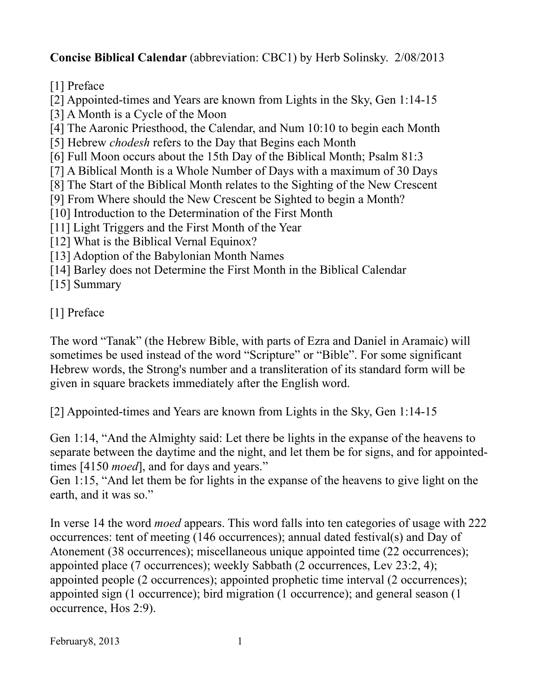**Concise Biblical Calendar** (abbreviation: CBC1) by Herb Solinsky. 2/08/2013

[1] Preface

[2] Appointed-times and Years are known from Lights in the Sky, Gen 1:14-15

[3] A Month is a Cycle of the Moon

[4] The Aaronic Priesthood, the Calendar, and Num 10:10 to begin each Month

[5] Hebrew *chodesh* refers to the Day that Begins each Month

[6] Full Moon occurs about the 15th Day of the Biblical Month; Psalm 81:3

[7] A Biblical Month is a Whole Number of Days with a maximum of 30 Days

[8] The Start of the Biblical Month relates to the Sighting of the New Crescent

[9] From Where should the New Crescent be Sighted to begin a Month?

[10] Introduction to the Determination of the First Month

[11] Light Triggers and the First Month of the Year

- [12] What is the Biblical Vernal Equinox?
- [13] Adoption of the Babylonian Month Names
- [14] Barley does not Determine the First Month in the Biblical Calendar

[15] Summary

[1] Preface

The word "Tanak" (the Hebrew Bible, with parts of Ezra and Daniel in Aramaic) will sometimes be used instead of the word "Scripture" or "Bible". For some significant Hebrew words, the Strong's number and a transliteration of its standard form will be given in square brackets immediately after the English word.

[2] Appointed-times and Years are known from Lights in the Sky, Gen 1:14-15

Gen 1:14, "And the Almighty said: Let there be lights in the expanse of the heavens to separate between the daytime and the night, and let them be for signs, and for appointedtimes [4150 *moed*], and for days and years."

Gen 1:15, "And let them be for lights in the expanse of the heavens to give light on the earth, and it was so."

In verse 14 the word *moed* appears. This word falls into ten categories of usage with 222 occurrences: tent of meeting (146 occurrences); annual dated festival(s) and Day of Atonement (38 occurrences); miscellaneous unique appointed time (22 occurrences); appointed place (7 occurrences); weekly Sabbath (2 occurrences, Lev 23:2, 4); appointed people (2 occurrences); appointed prophetic time interval (2 occurrences); appointed sign (1 occurrence); bird migration (1 occurrence); and general season (1 occurrence, Hos 2:9).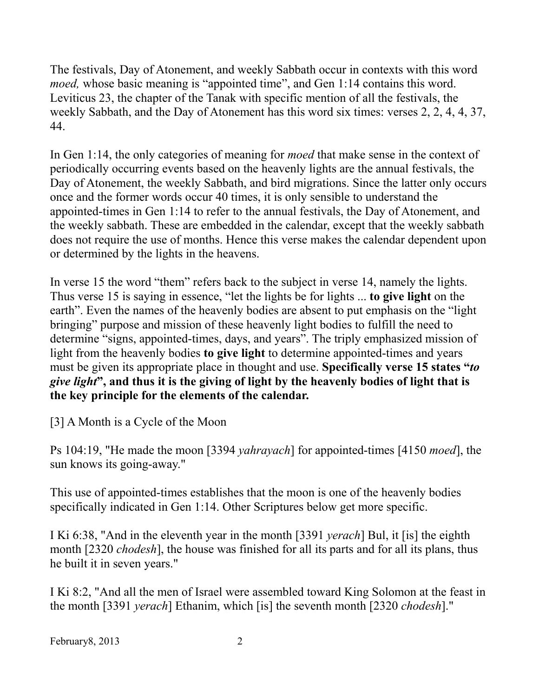The festivals, Day of Atonement, and weekly Sabbath occur in contexts with this word *moed,* whose basic meaning is "appointed time", and Gen 1:14 contains this word. Leviticus 23, the chapter of the Tanak with specific mention of all the festivals, the weekly Sabbath, and the Day of Atonement has this word six times: verses 2, 2, 4, 4, 37, 44.

In Gen 1:14, the only categories of meaning for *moed* that make sense in the context of periodically occurring events based on the heavenly lights are the annual festivals, the Day of Atonement, the weekly Sabbath, and bird migrations. Since the latter only occurs once and the former words occur 40 times, it is only sensible to understand the appointed-times in Gen 1:14 to refer to the annual festivals, the Day of Atonement, and the weekly sabbath. These are embedded in the calendar, except that the weekly sabbath does not require the use of months. Hence this verse makes the calendar dependent upon or determined by the lights in the heavens.

In verse 15 the word "them" refers back to the subject in verse 14, namely the lights. Thus verse 15 is saying in essence, "let the lights be for lights ... **to give light** on the earth". Even the names of the heavenly bodies are absent to put emphasis on the "light bringing" purpose and mission of these heavenly light bodies to fulfill the need to determine "signs, appointed-times, days, and years". The triply emphasized mission of light from the heavenly bodies **to give light** to determine appointed-times and years must be given its appropriate place in thought and use. **Specifically verse 15 states "***to give light***", and thus it is the giving of light by the heavenly bodies of light that is the key principle for the elements of the calendar.**

[3] A Month is a Cycle of the Moon

Ps 104:19, "He made the moon [3394 *yahrayach*] for appointed-times [4150 *moed*], the sun knows its going-away."

This use of appointed-times establishes that the moon is one of the heavenly bodies specifically indicated in Gen 1:14. Other Scriptures below get more specific.

I Ki 6:38, "And in the eleventh year in the month [3391 *yerach*] Bul, it [is] the eighth month [2320 *chodesh*], the house was finished for all its parts and for all its plans, thus he built it in seven years."

I Ki 8:2, "And all the men of Israel were assembled toward King Solomon at the feast in the month [3391 *yerach*] Ethanim, which [is] the seventh month [2320 *chodesh*]."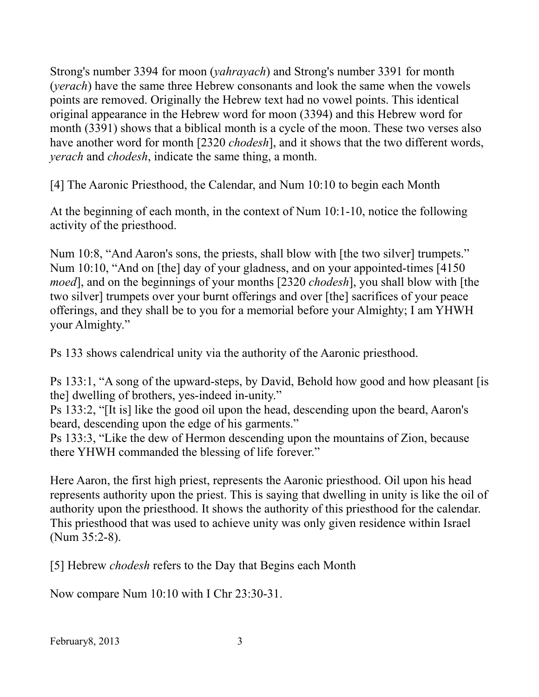Strong's number 3394 for moon (*yahrayach*) and Strong's number 3391 for month (*yerach*) have the same three Hebrew consonants and look the same when the vowels points are removed. Originally the Hebrew text had no vowel points. This identical original appearance in the Hebrew word for moon (3394) and this Hebrew word for month (3391) shows that a biblical month is a cycle of the moon. These two verses also have another word for month [2320 *chodesh*], and it shows that the two different words, *yerach* and *chodesh*, indicate the same thing, a month.

[4] The Aaronic Priesthood, the Calendar, and Num 10:10 to begin each Month

At the beginning of each month, in the context of Num 10:1-10, notice the following activity of the priesthood.

Num 10:8, "And Aaron's sons, the priests, shall blow with [the two silver] trumpets." Num 10:10, "And on [the] day of your gladness, and on your appointed-times [4150 *moed*], and on the beginnings of your months [2320 *chodesh*], you shall blow with [the two silver] trumpets over your burnt offerings and over [the] sacrifices of your peace offerings, and they shall be to you for a memorial before your Almighty; I am YHWH your Almighty."

Ps 133 shows calendrical unity via the authority of the Aaronic priesthood.

Ps 133:1, "A song of the upward-steps, by David, Behold how good and how pleasant [is the] dwelling of brothers, yes-indeed in-unity."

Ps 133:2, "[It is] like the good oil upon the head, descending upon the beard, Aaron's beard, descending upon the edge of his garments."

Ps 133:3, "Like the dew of Hermon descending upon the mountains of Zion, because there YHWH commanded the blessing of life forever."

Here Aaron, the first high priest, represents the Aaronic priesthood. Oil upon his head represents authority upon the priest. This is saying that dwelling in unity is like the oil of authority upon the priesthood. It shows the authority of this priesthood for the calendar. This priesthood that was used to achieve unity was only given residence within Israel (Num 35:2-8).

[5] Hebrew *chodesh* refers to the Day that Begins each Month

Now compare Num 10:10 with I Chr 23:30-31.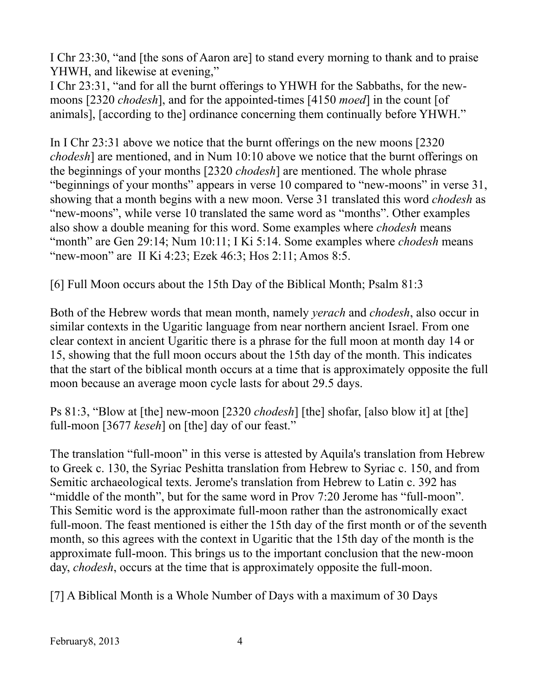I Chr 23:30, "and [the sons of Aaron are] to stand every morning to thank and to praise YHWH, and likewise at evening,"

I Chr 23:31, "and for all the burnt offerings to YHWH for the Sabbaths, for the newmoons [2320 *chodesh*], and for the appointed-times [4150 *moed*] in the count [of animals], [according to the] ordinance concerning them continually before YHWH."

In I Chr 23:31 above we notice that the burnt offerings on the new moons [2320 *chodesh*] are mentioned, and in Num 10:10 above we notice that the burnt offerings on the beginnings of your months [2320 *chodesh*] are mentioned. The whole phrase "beginnings of your months" appears in verse 10 compared to "new-moons" in verse 31, showing that a month begins with a new moon. Verse 31 translated this word *chodesh* as "new-moons", while verse 10 translated the same word as "months". Other examples also show a double meaning for this word. Some examples where *chodesh* means "month" are Gen 29:14; Num 10:11; I Ki 5:14. Some examples where *chodesh* means "new-moon" are II Ki 4:23; Ezek 46:3; Hos 2:11; Amos 8:5.

[6] Full Moon occurs about the 15th Day of the Biblical Month; Psalm 81:3

Both of the Hebrew words that mean month, namely *yerach* and *chodesh*, also occur in similar contexts in the Ugaritic language from near northern ancient Israel. From one clear context in ancient Ugaritic there is a phrase for the full moon at month day 14 or 15, showing that the full moon occurs about the 15th day of the month. This indicates that the start of the biblical month occurs at a time that is approximately opposite the full moon because an average moon cycle lasts for about 29.5 days.

Ps 81:3, "Blow at [the] new-moon [2320 *chodesh*] [the] shofar, [also blow it] at [the] full-moon [3677 *keseh*] on [the] day of our feast."

The translation "full-moon" in this verse is attested by Aquila's translation from Hebrew to Greek c. 130, the Syriac Peshitta translation from Hebrew to Syriac c. 150, and from Semitic archaeological texts. Jerome's translation from Hebrew to Latin c. 392 has "middle of the month", but for the same word in Prov 7:20 Jerome has "full-moon". This Semitic word is the approximate full-moon rather than the astronomically exact full-moon. The feast mentioned is either the 15th day of the first month or of the seventh month, so this agrees with the context in Ugaritic that the 15th day of the month is the approximate full-moon. This brings us to the important conclusion that the new-moon day, *chodesh*, occurs at the time that is approximately opposite the full-moon.

[7] A Biblical Month is a Whole Number of Days with a maximum of 30 Days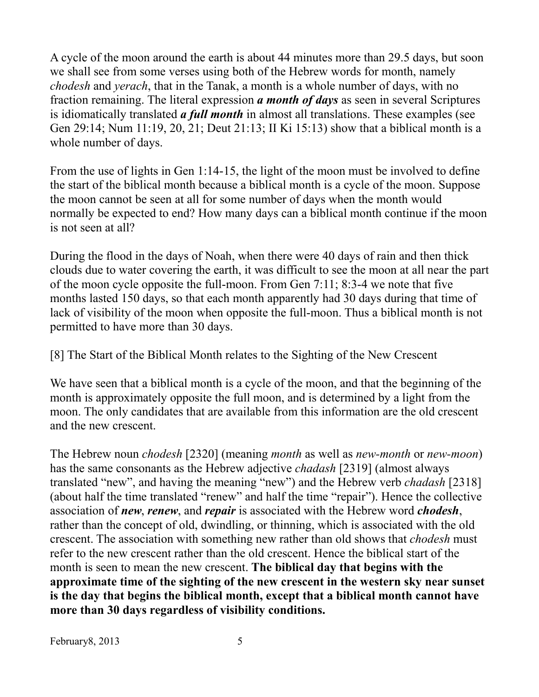A cycle of the moon around the earth is about 44 minutes more than 29.5 days, but soon we shall see from some verses using both of the Hebrew words for month, namely *chodesh* and *yerach*, that in the Tanak, a month is a whole number of days, with no fraction remaining. The literal expression *a month of days* as seen in several Scriptures is idiomatically translated *a full month* in almost all translations. These examples (see Gen 29:14; Num 11:19, 20, 21; Deut 21:13; II Ki 15:13) show that a biblical month is a whole number of days.

From the use of lights in Gen 1:14-15, the light of the moon must be involved to define the start of the biblical month because a biblical month is a cycle of the moon. Suppose the moon cannot be seen at all for some number of days when the month would normally be expected to end? How many days can a biblical month continue if the moon is not seen at all?

During the flood in the days of Noah, when there were 40 days of rain and then thick clouds due to water covering the earth, it was difficult to see the moon at all near the part of the moon cycle opposite the full-moon. From Gen 7:11; 8:3-4 we note that five months lasted 150 days, so that each month apparently had 30 days during that time of lack of visibility of the moon when opposite the full-moon. Thus a biblical month is not permitted to have more than 30 days.

[8] The Start of the Biblical Month relates to the Sighting of the New Crescent

We have seen that a biblical month is a cycle of the moon, and that the beginning of the month is approximately opposite the full moon, and is determined by a light from the moon. The only candidates that are available from this information are the old crescent and the new crescent.

The Hebrew noun *chodesh* [2320] (meaning *month* as well as *new-month* or *new-moon*) has the same consonants as the Hebrew adjective *chadash* [2319] (almost always translated "new", and having the meaning "new") and the Hebrew verb *chadash* [2318] (about half the time translated "renew" and half the time "repair"). Hence the collective association of *new*, *renew*, and *repair* is associated with the Hebrew word *chodesh*, rather than the concept of old, dwindling, or thinning, which is associated with the old crescent. The association with something new rather than old shows that *chodesh* must refer to the new crescent rather than the old crescent. Hence the biblical start of the month is seen to mean the new crescent. **The biblical day that begins with the approximate time of the sighting of the new crescent in the western sky near sunset is the day that begins the biblical month, except that a biblical month cannot have more than 30 days regardless of visibility conditions.**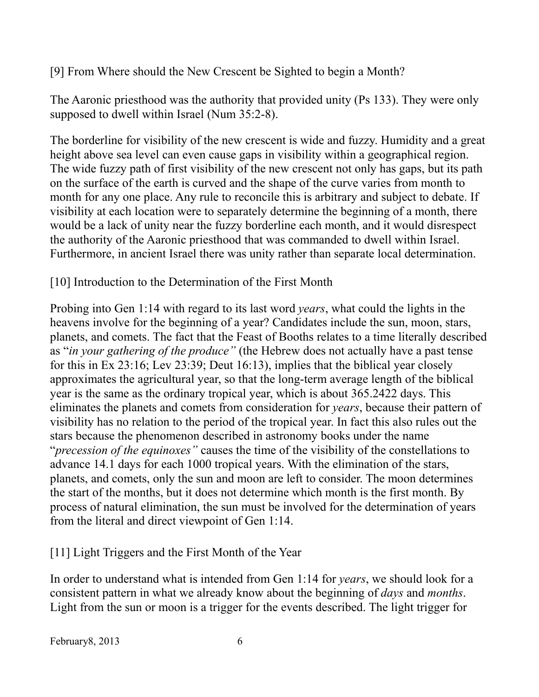[9] From Where should the New Crescent be Sighted to begin a Month?

The Aaronic priesthood was the authority that provided unity (Ps 133). They were only supposed to dwell within Israel (Num 35:2-8).

The borderline for visibility of the new crescent is wide and fuzzy. Humidity and a great height above sea level can even cause gaps in visibility within a geographical region. The wide fuzzy path of first visibility of the new crescent not only has gaps, but its path on the surface of the earth is curved and the shape of the curve varies from month to month for any one place. Any rule to reconcile this is arbitrary and subject to debate. If visibility at each location were to separately determine the beginning of a month, there would be a lack of unity near the fuzzy borderline each month, and it would disrespect the authority of the Aaronic priesthood that was commanded to dwell within Israel. Furthermore, in ancient Israel there was unity rather than separate local determination.

## [10] Introduction to the Determination of the First Month

Probing into Gen 1:14 with regard to its last word *years*, what could the lights in the heavens involve for the beginning of a year? Candidates include the sun, moon, stars, planets, and comets. The fact that the Feast of Booths relates to a time literally described as "*in your gathering of the produce"* (the Hebrew does not actually have a past tense for this in Ex 23:16; Lev 23:39; Deut 16:13), implies that the biblical year closely approximates the agricultural year, so that the long-term average length of the biblical year is the same as the ordinary tropical year, which is about 365.2422 days. This eliminates the planets and comets from consideration for *years*, because their pattern of visibility has no relation to the period of the tropical year. In fact this also rules out the stars because the phenomenon described in astronomy books under the name "*precession of the equinoxes"* causes the time of the visibility of the constellations to advance 14.1 days for each 1000 tropical years. With the elimination of the stars, planets, and comets, only the sun and moon are left to consider. The moon determines the start of the months, but it does not determine which month is the first month. By process of natural elimination, the sun must be involved for the determination of years from the literal and direct viewpoint of Gen 1:14.

## [11] Light Triggers and the First Month of the Year

In order to understand what is intended from Gen 1:14 for *years*, we should look for a consistent pattern in what we already know about the beginning of *days* and *months*. Light from the sun or moon is a trigger for the events described. The light trigger for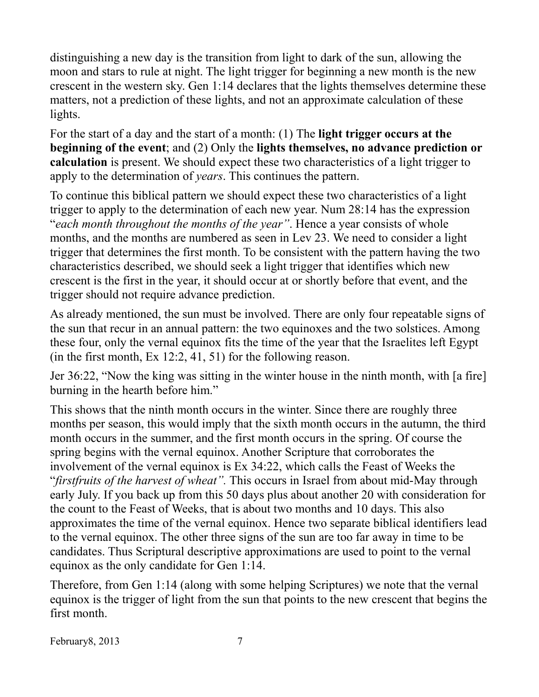distinguishing a new day is the transition from light to dark of the sun, allowing the moon and stars to rule at night. The light trigger for beginning a new month is the new crescent in the western sky. Gen 1:14 declares that the lights themselves determine these matters, not a prediction of these lights, and not an approximate calculation of these lights.

For the start of a day and the start of a month: (1) The **light trigger occurs at the beginning of the event**; and (2) Only the **lights themselves, no advance prediction or calculation** is present. We should expect these two characteristics of a light trigger to apply to the determination of *years*. This continues the pattern.

To continue this biblical pattern we should expect these two characteristics of a light trigger to apply to the determination of each new year. Num 28:14 has the expression "*each month throughout the months of the year"*. Hence a year consists of whole months, and the months are numbered as seen in Lev 23. We need to consider a light trigger that determines the first month. To be consistent with the pattern having the two characteristics described, we should seek a light trigger that identifies which new crescent is the first in the year, it should occur at or shortly before that event, and the trigger should not require advance prediction.

As already mentioned, the sun must be involved. There are only four repeatable signs of the sun that recur in an annual pattern: the two equinoxes and the two solstices. Among these four, only the vernal equinox fits the time of the year that the Israelites left Egypt (in the first month, Ex 12:2, 41, 51) for the following reason.

Jer 36:22, "Now the king was sitting in the winter house in the ninth month, with [a fire] burning in the hearth before him."

This shows that the ninth month occurs in the winter. Since there are roughly three months per season, this would imply that the sixth month occurs in the autumn, the third month occurs in the summer, and the first month occurs in the spring. Of course the spring begins with the vernal equinox. Another Scripture that corroborates the involvement of the vernal equinox is Ex 34:22, which calls the Feast of Weeks the "*firstfruits of the harvest of wheat".* This occurs in Israel from about mid-May through early July. If you back up from this 50 days plus about another 20 with consideration for the count to the Feast of Weeks, that is about two months and 10 days. This also approximates the time of the vernal equinox. Hence two separate biblical identifiers lead to the vernal equinox. The other three signs of the sun are too far away in time to be candidates. Thus Scriptural descriptive approximations are used to point to the vernal equinox as the only candidate for Gen 1:14.

Therefore, from Gen 1:14 (along with some helping Scriptures) we note that the vernal equinox is the trigger of light from the sun that points to the new crescent that begins the first month.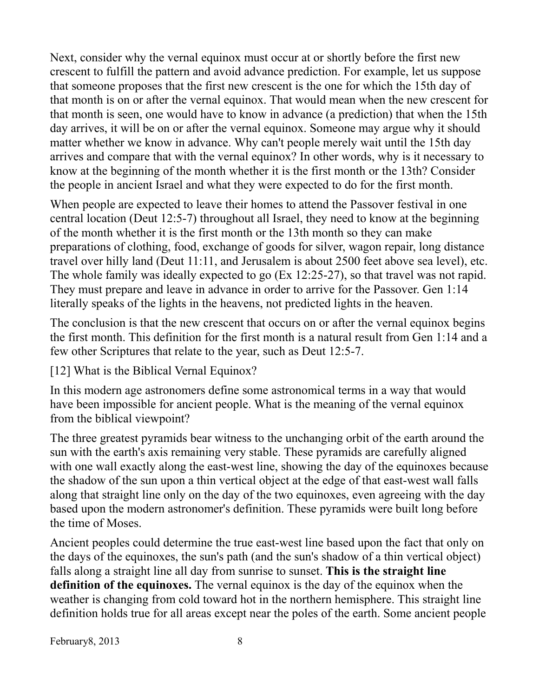Next, consider why the vernal equinox must occur at or shortly before the first new crescent to fulfill the pattern and avoid advance prediction. For example, let us suppose that someone proposes that the first new crescent is the one for which the 15th day of that month is on or after the vernal equinox. That would mean when the new crescent for that month is seen, one would have to know in advance (a prediction) that when the 15th day arrives, it will be on or after the vernal equinox. Someone may argue why it should matter whether we know in advance. Why can't people merely wait until the 15th day arrives and compare that with the vernal equinox? In other words, why is it necessary to know at the beginning of the month whether it is the first month or the 13th? Consider the people in ancient Israel and what they were expected to do for the first month.

When people are expected to leave their homes to attend the Passover festival in one central location (Deut 12:5-7) throughout all Israel, they need to know at the beginning of the month whether it is the first month or the 13th month so they can make preparations of clothing, food, exchange of goods for silver, wagon repair, long distance travel over hilly land (Deut 11:11, and Jerusalem is about 2500 feet above sea level), etc. The whole family was ideally expected to go (Ex 12:25-27), so that travel was not rapid. They must prepare and leave in advance in order to arrive for the Passover. Gen 1:14 literally speaks of the lights in the heavens, not predicted lights in the heaven.

The conclusion is that the new crescent that occurs on or after the vernal equinox begins the first month. This definition for the first month is a natural result from Gen 1:14 and a few other Scriptures that relate to the year, such as Deut 12:5-7.

[12] What is the Biblical Vernal Equinox?

In this modern age astronomers define some astronomical terms in a way that would have been impossible for ancient people. What is the meaning of the vernal equinox from the biblical viewpoint?

The three greatest pyramids bear witness to the unchanging orbit of the earth around the sun with the earth's axis remaining very stable. These pyramids are carefully aligned with one wall exactly along the east-west line, showing the day of the equinoxes because the shadow of the sun upon a thin vertical object at the edge of that east-west wall falls along that straight line only on the day of the two equinoxes, even agreeing with the day based upon the modern astronomer's definition. These pyramids were built long before the time of Moses.

Ancient peoples could determine the true east-west line based upon the fact that only on the days of the equinoxes, the sun's path (and the sun's shadow of a thin vertical object) falls along a straight line all day from sunrise to sunset. **This is the straight line definition of the equinoxes.** The vernal equinox is the day of the equinox when the weather is changing from cold toward hot in the northern hemisphere. This straight line definition holds true for all areas except near the poles of the earth. Some ancient people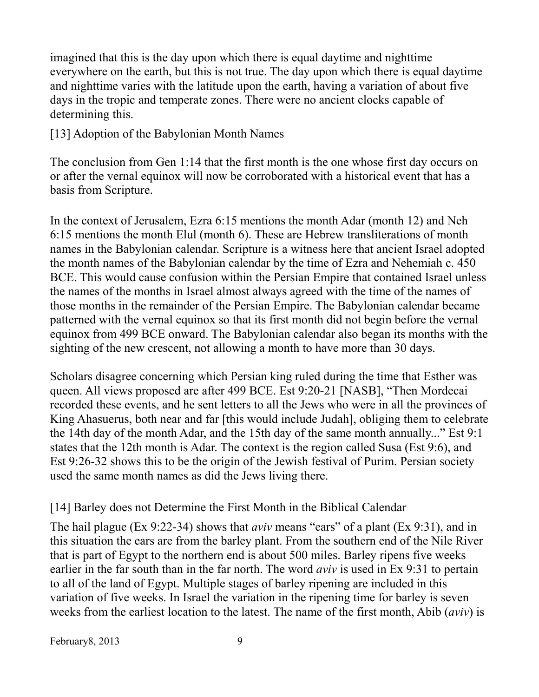imagined that this is the day upon which there is equal daytime and nighttime everywhere on the earth, but this is not true. The day upon which there is equal daytime and nighttime varies with the latitude upon the earth, having a variation of about five days in the tropic and temperate zones. There were no ancient clocks capable of determining this.

[13] Adoption of the Babylonian Month Names

The conclusion from Gen 1:14 that the first month is the one whose first day occurs on or after the vernal equinox will now be corroborated with a historical event that has a basis from Scripture.

In the context of Jerusalem, Ezra 6:15 mentions the month Adar (month 12) and Neh 6:15 mentions the month Elul (month 6). These are Hebrew transliterations of month names in the Babylonian calendar. Scripture is a witness here that ancient Israel adopted the month names of the Babylonian calendar by the time of Ezra and Nehemiah c. 450 BCE. This would cause confusion within the Persian Empire that contained Israel unless the names of the months in Israel almost always agreed with the time of the names of those months in the remainder of the Persian Empire. The Babylonian calendar became patterned with the vernal equinox so that its first month did not begin before the vernal equinox from 499 BCE onward. The Babylonian calendar also began its months with the sighting of the new crescent, not allowing a month to have more than 30 days.

Scholars disagree concerning which Persian king ruled during the time that Esther was queen. All views proposed are after 499 BCE. Est 9:20-21 [NASB], "Then Mordecai recorded these events, and he sent letters to all the Jews who were in all the provinces of King Ahasuerus, both near and far [this would include Judah], obliging them to celebrate the 14th day of the month Adar, and the 15th day of the same month annually..." Est 9:1 states that the 12th month is Adar. The context is the region called Susa (Est 9:6), and Est 9:26-32 shows this to be the origin of the Jewish festival of Purim. Persian society used the same month names as did the Jews living there.

## [14] Barley does not Determine the First Month in the Biblical Calendar

The hail plague (Ex 9:22-34) shows that *aviv* means "ears" of a plant (Ex 9:31), and in this situation the ears are from the barley plant. From the southern end of the Nile River that is part of Egypt to the northern end is about 500 miles. Barley ripens five weeks earlier in the far south than in the far north. The word *aviv* is used in Ex 9:31 to pertain to all of the land of Egypt. Multiple stages of barley ripening are included in this variation of five weeks. In Israel the variation in the ripening time for barley is seven weeks from the earliest location to the latest. The name of the first month, Abib (*aviv*) is